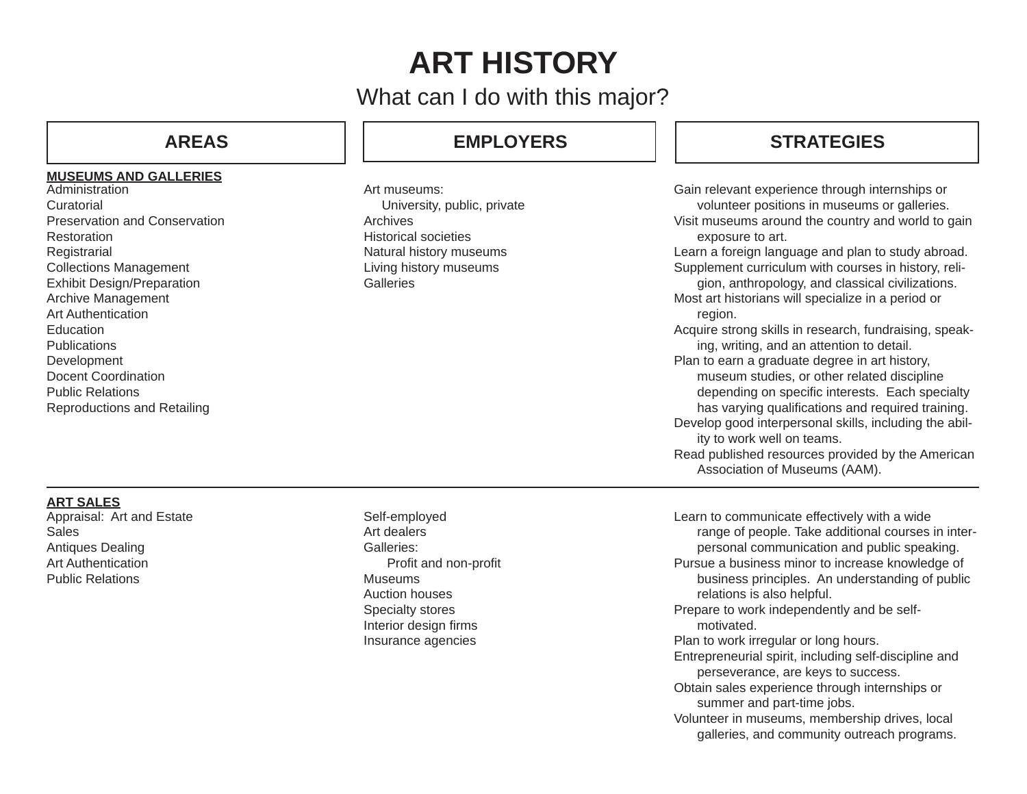# **ART HISTORY**

What can I do with this major?

### **MUSEUMS AND GALLERIES**

**Administration Curatorial** Preservation and ConservationRestorationRegistrarial Collections Management Exhibit Design/Preparation Archive Management Art Authentication EducationPublicationsDevelopment Docent Coordination Public RelationsReproductions and Retailing

## **AREAS EMPLOYERS**

Art museums: University, public, private ArchivesHistorical societiesNatural history museums Living history museums **Galleries** 

## **STRATEGIES**

Gain relevant experience through internships or volunteer positions in museums or galleries. Visit museums around the country and world to gain exposure to art.

Learn a foreign language and plan to study abroad. Supplement curriculum with courses in history, reli-

gion, anthropology, and classical civilizations. Most art historians will specialize in a period or region.

Acquire strong skills in research, fundraising, speaking, writing, and an attention to detail.

Plan to earn a graduate degree in art history, museum studies, or other related discipline depending on specific interests. Each specialty has varying qualifications and required training.

Develop good interpersonal skills, including the ability to work well on teams.

Read published resources provided by the American Association of Museums (AAM).

### **ART SALES**

Appraisal: Art and Estate SalesAntiques Dealing Art AuthenticationPublic Relations

Self-employed Art dealersGalleries:Profit and non-profit MuseumsAuction housesSpecialty stores Interior design firms Insurance agencies

Learn to communicate effectively with a wide range of people. Take additional courses in interpersonal communication and public speaking. Pursue a business minor to increase knowledge of business principles. An understanding of public relations is also helpful. Prepare to work independently and be self motivated.Plan to work irregular or long hours. Entrepreneurial spirit, including self-discipline and perseverance, are keys to success. Obtain sales experience through internships or summer and part-time jobs. Volunteer in museums, membership drives, local galleries, and community outreach programs.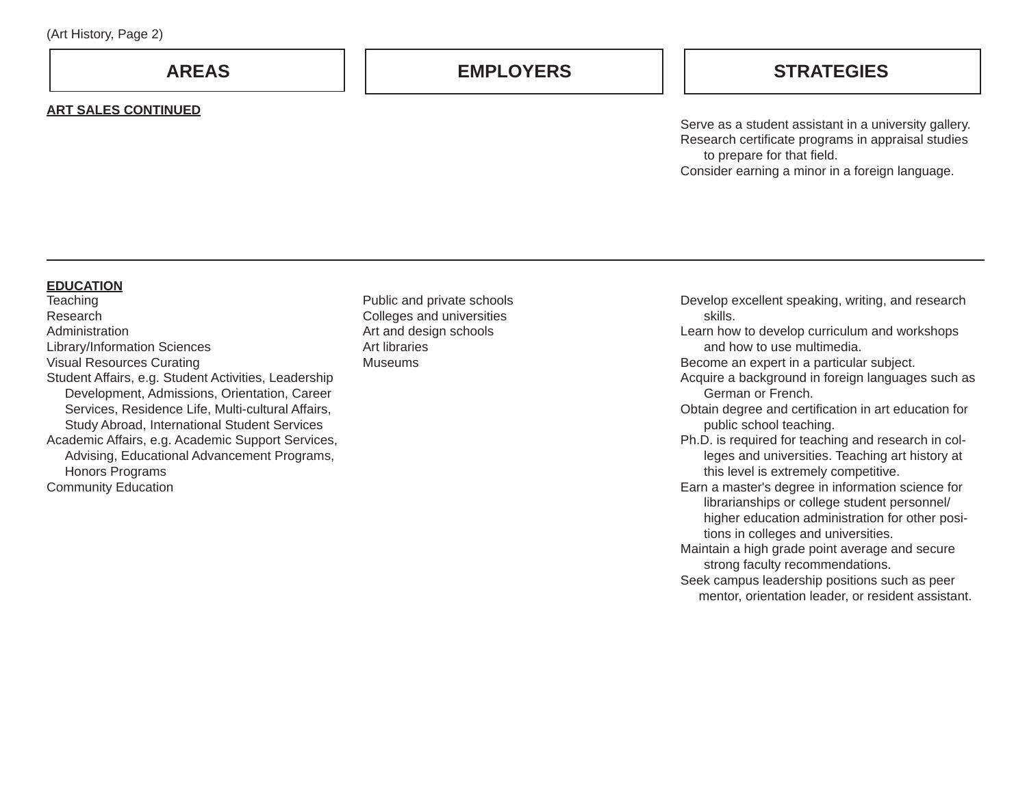**AREAS**

#### **ART SALES CONTINUED**

## **EMPLOYERS STRATEGIES**

Serve as a student assistant in a university gallery. Research certificate programs in appraisal studies to prepare for that field. Consider earning a minor in a foreign language.

#### **EDUCATION**

**Teaching** ResearchAdministrationLibrary/Information Sciences Visual Resources Curating Student Affairs, e.g. Student Activities, Leadership Development, Admissions, Orientation, Career Services, Residence Life, Multi-cultural Affairs, Study Abroad, International Student Services Academic Affairs, e.g. Academic Support Services, Advising, Educational Advancement Programs, Honors Programs Community Education

Public and private schools Colleges and universities Art and design schools Art librariesMuseums

Develop excellent speaking, writing, and research skills.

 Learn how to develop curriculum and workshops and how to use multimedia.

Become an expert in a particular subject.

Acquire a background in foreign languages such as German or French.

Obtain degree and certification in art education for public school teaching.

Ph.D. is required for teaching and research in colleges and universities. Teaching art history at this level is extremely competitive.

Earn a master's degree in information science for librarianships or college student personnel/ higher education administration for other positions in colleges and universities.

Maintain a high grade point average and secure strong faculty recommendations.

Seek campus leadership positions such as peer mentor, orientation leader, or resident assistant.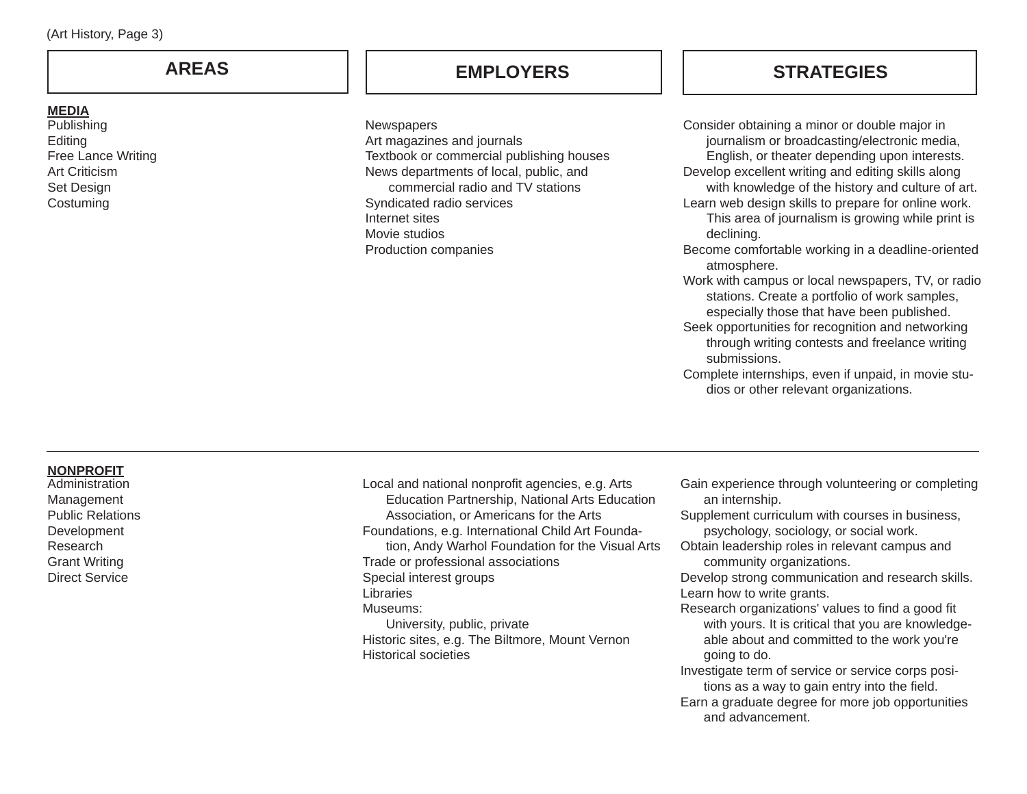## **AREAS**

### **MEDIA**

Publishing Editing Free Lance Writing Art Criticism Set Design **Costuming** 

## **EMPLOYERS**

**Newspapers** 

Art magazines and journals Textbook or commercial publishing houses News departments of local, public, and commercial radio and TV stationsSyndicated radio services Internet sitesMovie studiosProduction companies

## **STRATEGIES**

Consider obtaining a minor or double major in journalism or broadcasting/electronic media, English, or theater depending upon interests. Develop excellent writing and editing skills along with knowledge of the history and culture of art. Learn web design skills to prepare for online work. This area of journalism is growing while print is declining. Become comfortable working in a deadline-oriented atmosphere. Work with campus or local newspapers, TV, or radio stations. Create a portfolio of work samples, especially those that have been published. Seek opportunities for recognition and networking through writing contests and freelance writing submissions.

Complete internships, even if unpaid, in movie studios or other relevant organizations.

#### **NONPROFIT**

AdministrationManagement Public Relations Development Research Grant Writing Direct Service

Local and national nonprofit agencies, e.g. Arts Education Partnership, National Arts Education Association, or Americans for the Arts Foundations, e.g. International Child Art Foundation, Andy Warhol Foundation for the Visual Arts Trade or professional associations Special interest groups Libraries Museums: University, public, private Historic sites, e.g. The Biltmore, Mount Vernon Historical societies

- Gain experience through volunteering or completing an internship.
- Supplement curriculum with courses in business, psychology, sociology, or social work.
- Obtain leadership roles in relevant campus and community organizations.

Develop strong communication and research skills. Learn how to write grants.

Research organizations' values to find a good fit with yours. It is critical that you are knowledgeable about and committed to the work you're going to do.

Investigate term of service or service corps positions as a way to gain entry into the field.

Earn a graduate degree for more job opportunities and advancement.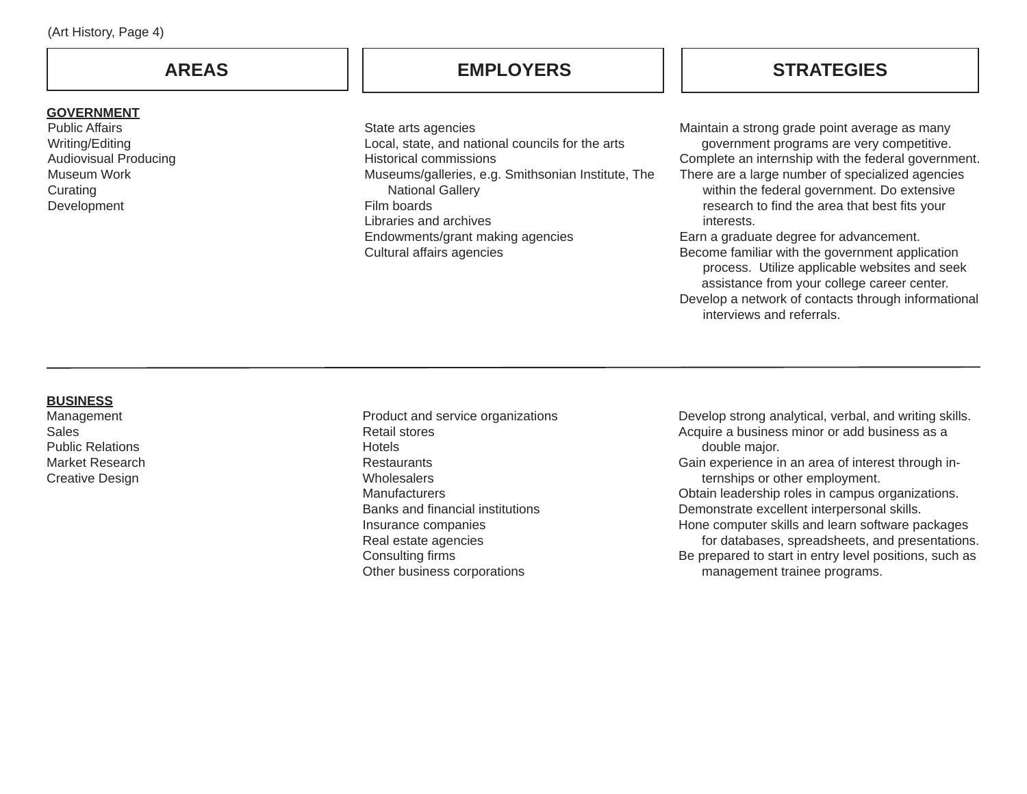| (Art History, Page 4) |  |
|-----------------------|--|
|-----------------------|--|

## **AREAS**

## **GOVERNMENT**

Public Affairs Writing/Editing Audiovisual Producing Museum Work**Curating** Development

State arts agencies Local, state, and national councils for the arts Historical commissionsMuseums/galleries, e.g. Smithsonian Institute, The National Gallery Film boardsLibraries and archivesEndowments/grant making agencies Cultural affairs agencies

**EMPLOYERS STRATEGIES**

Maintain a strong grade point average as many government programs are very competitive. Complete an internship with the federal government. There are a large number of specialized agencies within the federal government. Do extensive research to find the area that best fits your

Earn a graduate degree for advancement. Become familiar with the government application process. Utilize applicable websites and seek assistance from your college career center. Develop a network of contacts through informational interviews and referrals.

interests.

#### **BUSINESS**

Management SalesPublic Relations Market ResearchCreative Design

Product and service organizations Retail stores**Hotels Restaurants Wholesalers Manufacturers** Banks and financial institutions Insurance companies Real estate agencies Consulting firms Other business corporations

Develop strong analytical, verbal, and writing skills. Acquire a business minor or add business as a double major. Gain experience in an area of interest through internships or other employment. Obtain leadership roles in campus organizations. Demonstrate excellent interpersonal skills. Hone computer skills and learn software packages for databases, spreadsheets, and presentations.

Be prepared to start in entry level positions, such as management trainee programs.